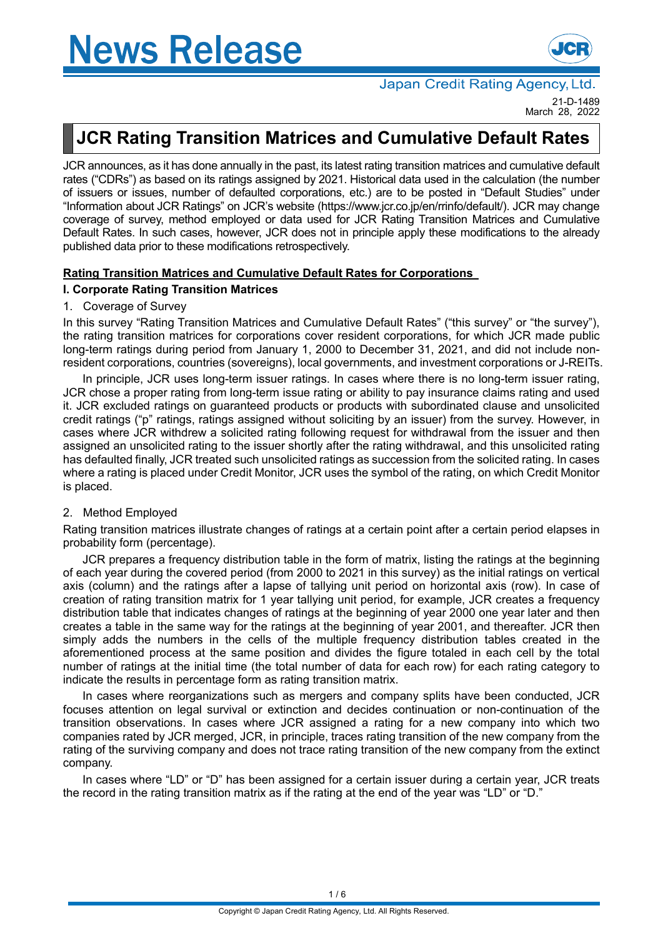# **News Release**



Japan Credit Rating Agency, Ltd. 21-D-1489

March 28, 2022

## **JCR Rating Transition Matrices and Cumulative Default Rates**

JCR announces, as it has done annually in the past, its latest rating transition matrices and cumulative default rates ("CDRs") as based on its ratings assigned by 2021. Historical data used in the calculation (the number of issuers or issues, number of defaulted corporations, etc.) are to be posted in "Default Studies" under "Information about JCR Ratings" on JCR's website (https://www.jcr.co.jp/en/rrinfo/default/). JCR may change coverage of survey, method employed or data used for JCR Rating Transition Matrices and Cumulative Default Rates. In such cases, however, JCR does not in principle apply these modifications to the already published data prior to these modifications retrospectively.

#### **Rating Transition Matrices and Cumulative Default Rates for Corporations**

#### **I. Corporate Rating Transition Matrices**

#### 1. Coverage of Survey

In this survey "Rating Transition Matrices and Cumulative Default Rates" ("this survey" or "the survey"), the rating transition matrices for corporations cover resident corporations, for which JCR made public long-term ratings during period from January 1, 2000 to December 31, 2021, and did not include nonresident corporations, countries (sovereigns), local governments, and investment corporations or J-REITs.

In principle, JCR uses long-term issuer ratings. In cases where there is no long-term issuer rating, JCR chose a proper rating from long-term issue rating or ability to pay insurance claims rating and used it. JCR excluded ratings on guaranteed products or products with subordinated clause and unsolicited credit ratings ("p" ratings, ratings assigned without soliciting by an issuer) from the survey. However, in cases where JCR withdrew a solicited rating following request for withdrawal from the issuer and then assigned an unsolicited rating to the issuer shortly after the rating withdrawal, and this unsolicited rating has defaulted finally, JCR treated such unsolicited ratings as succession from the solicited rating. In cases where a rating is placed under Credit Monitor, JCR uses the symbol of the rating, on which Credit Monitor is placed.

#### 2. Method Employed

Rating transition matrices illustrate changes of ratings at a certain point after a certain period elapses in probability form (percentage).

JCR prepares a frequency distribution table in the form of matrix, listing the ratings at the beginning of each year during the covered period (from 2000 to 2021 in this survey) as the initial ratings on vertical axis (column) and the ratings after a lapse of tallying unit period on horizontal axis (row). In case of creation of rating transition matrix for 1 year tallying unit period, for example, JCR creates a frequency distribution table that indicates changes of ratings at the beginning of year 2000 one year later and then creates a table in the same way for the ratings at the beginning of year 2001, and thereafter. JCR then simply adds the numbers in the cells of the multiple frequency distribution tables created in the aforementioned process at the same position and divides the figure totaled in each cell by the total number of ratings at the initial time (the total number of data for each row) for each rating category to indicate the results in percentage form as rating transition matrix.

In cases where reorganizations such as mergers and company splits have been conducted, JCR focuses attention on legal survival or extinction and decides continuation or non-continuation of the transition observations. In cases where JCR assigned a rating for a new company into which two companies rated by JCR merged, JCR, in principle, traces rating transition of the new company from the rating of the surviving company and does not trace rating transition of the new company from the extinct company.

In cases where "LD" or "D" has been assigned for a certain issuer during a certain year, JCR treats the record in the rating transition matrix as if the rating at the end of the year was "LD" or "D."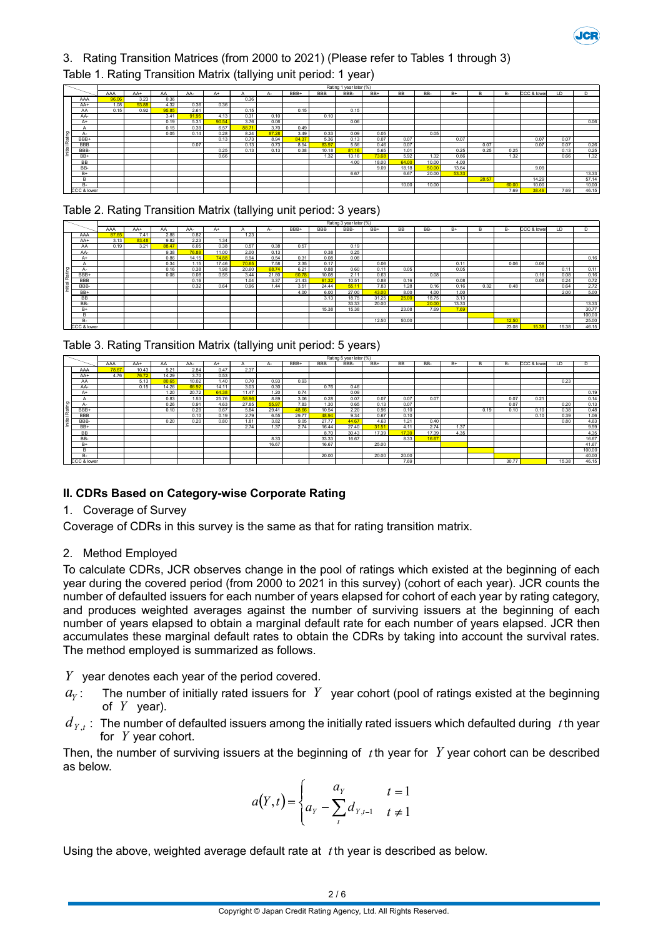

### 3. Rating Transition Matrices (from 2000 to 2021) (Please refer to Tables 1 through 3)

|          |             |       |       |       |       |       |       |       |       |            | Rating 1 year later (%) |       |           |       |       |       |       |             |      |       |
|----------|-------------|-------|-------|-------|-------|-------|-------|-------|-------|------------|-------------------------|-------|-----------|-------|-------|-------|-------|-------------|------|-------|
|          |             | AAA   | AA+   | AA    | AA-   | A+    |       |       | BBB+  | <b>BBB</b> | BBB-                    | BB+   | <b>BB</b> | BB-   | $B+$  | B     | B-    | CCC & lower | LD   |       |
|          | AAA         | 96.06 | 3.23  | 0.36  |       |       | 0.36  |       |       |            |                         |       |           |       |       |       |       |             |      |       |
|          | AA+         | 1.08  | 93.88 | 4.32  | 0.36  | 0.36  |       |       |       |            |                         |       |           |       |       |       |       |             |      |       |
|          | AA          | 0.15  | 0.92  | 95.85 | 2.61  |       | 0.15  |       | 0.15  |            | 0.15                    |       |           |       |       |       |       |             |      |       |
|          | AA-         |       |       | 3.41  | 91.95 | 4.13  | 0.31  | 0.10  |       | 0.10       |                         |       |           |       |       |       |       |             |      |       |
|          | A+          |       |       | 0.19  | 5.31  | 90.54 | 3.76  | 0.06  |       |            | 0.06                    |       |           |       |       |       |       |             |      | 0.06  |
|          |             |       |       | 0.15  | 0.39  | 6.57  | 88.71 | 3.70  | 0.49  |            |                         |       |           |       |       |       |       |             |      |       |
| $\sigma$ | $A-$        |       |       | 0.05  | 0.14  | 0.28  | 8.24  | 87.28 | 3.49  | 0.33       | 0.09                    | 0.05  |           | 0.05  |       |       |       |             |      |       |
| Ratin    | BBB+        |       |       |       |       | 0.13  | 0.73  | 8.94  | 84.37 | 5.36       | 0.13                    | 0.07  | 0.07      |       | 0.07  |       |       | 0.07        | 0.07 |       |
|          | <b>BBB</b>  |       |       |       | 0.07  |       | 0.13  | 0.73  | 8.54  | 83.97      | 5.56                    | 0.46  | 0.07      |       |       | 0.07  |       | 0.07        | 0.07 | 0.26  |
| hitial   | BBB-        |       |       |       |       | 0.25  | 0.13  | 0.13  | 0.38  | 10.18      | 81.16                   | 5.65  | 1.01      |       | 0.25  | 0.25  | 0.25  |             | 0.13 | 0.25  |
|          | BB+         |       |       |       |       | 0.66  |       |       |       | 1.32       | 13.16                   | 73.68 | 5.92      | 1.32  | 0.66  |       | 1.32  |             | 0.66 | 1.32  |
|          | <b>BB</b>   |       |       |       |       |       |       |       |       |            | 4.00                    | 18.00 | 64.00     | 10.00 | 4.00  |       |       |             |      |       |
|          | BB-         |       |       |       |       |       |       |       |       |            |                         | 9.09  | 18.18     | 50.00 | 13.64 |       |       | 9.09        |      |       |
|          | $B+$        |       |       |       |       |       |       |       |       |            | 6.67                    |       | 6.67      | 20.00 | 53.33 |       |       |             |      | 13.33 |
|          | B           |       |       |       |       |       |       |       |       |            |                         |       |           |       |       | 28.57 |       | 14.29       |      | 57.14 |
|          | в-          |       |       |       |       |       |       |       |       |            |                         |       | 10.00     | 10.00 |       |       | 60.00 | 10.00       |      | 10.00 |
|          | CCC & lower |       |       |       |       |       |       |       |       |            |                         |       |           |       |       |       | 7.69  | 38.46       | 7.69 | 46.15 |

#### Table 1. Rating Transition Matrix (tallying unit period: 1 year)

#### Table 2. Rating Transition Matrix (tallying unit period: 3 years)

|                       |             |       |       |       |       |       |       |       |       |            | Rating 3 year later (%) |       |           |       |       |      |           |             |       |        |
|-----------------------|-------------|-------|-------|-------|-------|-------|-------|-------|-------|------------|-------------------------|-------|-----------|-------|-------|------|-----------|-------------|-------|--------|
|                       |             | AAA   | AA+   | AA    | AA-   | $A+$  |       | А-    | BBB+  | <b>BBB</b> | BBB-                    | BB+   | <b>BB</b> | BB-   | $B+$  | в    | <b>B-</b> | CCC & lower | LD    | D.     |
|                       | AAA         | 87.65 | 7.41  | 2.88  | 0.82  |       | 1.23  |       |       |            |                         |       |           |       |       |      |           |             |       |        |
|                       | AA+         | 3.13  | 83.48 | 9.82  | 2.23  | 1.34  |       |       |       |            |                         |       |           |       |       |      |           |             |       |        |
|                       | AA          | 0.19  | 3.21  | 88.47 | 6.05  | 0.38  | 0.57  | 0.38  | 0.57  |            | 0.19                    |       |           |       |       |      |           |             |       |        |
|                       | AA-         |       |       | 9.38  | 76.88 | 11.00 | 2.00  | 0.13  |       | 0.38       | 0.25                    |       |           |       |       |      |           |             |       |        |
|                       | $A+$        |       |       | 0.86  | 14.15 | 74.88 | 8.94  | 0.54  | 0.31  | 0.08       | 0.08                    |       |           |       |       |      |           |             |       | 0.16   |
|                       | A           |       |       | 0.34  | 1.15  | 17.46 | 70.65 | 7.58  | 2.35  | 0.17       |                         | 0.06  |           |       | 0.11  |      | 0.06      | 0.06        |       |        |
| ۱g                    | A-          |       |       | 0.16  | 0.38  | 1.98  | 20.60 | 68.74 | 6.21  | 0.88       | 0.60                    | 0.11  | 0.05      |       | 0.05  |      |           |             | 0.11  | 0.11   |
| ്ത                    | BBB+        |       |       | 0.08  | 0.08  | 0.55  | 3.44  | 21.80 | 60.78 | 10.08      | 2.11                    | 0.63  |           | 0.08  |       |      |           | 0.16        | 0.08  | 0.16   |
| Ιõέ<br>$\overline{a}$ | <b>BBB</b>  |       |       |       | 0.16  |       | 1.04  | 3.37  | 21.43 | 61.32      | 10.51                   | 0.88  | 0.16      |       | 0.08  |      |           | 0.08        | 0.24  | 0.72   |
| Ë                     | BBB-        |       |       |       | 0.32  | 0.64  | 0.96  | 1.44  | 3.51  | 24.44      | 55.1                    | 7.83  | 1.28      | 0.16  | 0.16  | 0.32 | 0.48      |             | 0.64  | 2.72   |
|                       | BB+         |       |       |       |       |       |       |       | 4.00  | 6.00       | 27.00                   | 43.00 | 8.00      | 4.00  | 1.00  |      |           |             | 2.00  | 5.00   |
|                       | <b>BB</b>   |       |       |       |       |       |       |       |       | 3.13       | 18.75                   | 31.25 | 25.00     | 18.75 | 3.13  |      |           |             |       |        |
|                       | BB-         |       |       |       |       |       |       |       |       |            | 33.33                   | 20.00 |           | 2000  | 13.33 |      |           |             |       | 13.33  |
|                       | $B+$        |       |       |       |       |       |       |       |       | 15.38      | 15.38                   |       | 23.08     | 7.69  | 7.69  |      |           |             |       | 30.77  |
|                       | R           |       |       |       |       |       |       |       |       |            |                         |       |           |       |       |      |           |             |       | 100.00 |
|                       | <b>B-</b>   |       |       |       |       |       |       |       |       |            |                         | 12.50 | 50.00     |       |       |      | 12.50     |             |       | 25.00  |
|                       | CCC & lower |       |       |       |       |       |       |       |       |            |                         |       |           |       |       |      | 23.08     | 15.38       | 15.38 | 46.15  |

|  | Table 3. Rating Transition Matrix (tallying unit period: 5 years) |  |  |  |
|--|-------------------------------------------------------------------|--|--|--|
|  |                                                                   |  |  |  |

|                                 |             |       |       |       |       |       |       |       |       |            | Rating 5 year later (%) |       |           |       |      |      |       |             |       |        |
|---------------------------------|-------------|-------|-------|-------|-------|-------|-------|-------|-------|------------|-------------------------|-------|-----------|-------|------|------|-------|-------------|-------|--------|
|                                 |             | AAA   | AA+   | AA    | AA-   | $A+$  |       | А-    | BBB+  | <b>BBB</b> | BBB-                    | BB+   | <b>BB</b> | BB-   | $B+$ | B    | B-    | CCC & lower | LD    | D.     |
|                                 | AAA         | 78.67 | 10.43 | 5.21  | 2.84  | 0.47  | 2.37  |       |       |            |                         |       |           |       |      |      |       |             |       |        |
|                                 | AA+         | 4.76  | 76.72 | 14.29 | 3.70  | 0.53  |       |       |       |            |                         |       |           |       |      |      |       |             |       |        |
|                                 | AA          |       | 5.13  | 80.65 | 10.02 | 1.40  | 0.70  | 0.93  | 0.93  |            |                         |       |           |       |      |      |       |             | 0.23  |        |
|                                 | AA-         |       | 0.15  | 14.26 | 66.92 | 14.11 | 3.03  | 0.30  |       | 0.76       | 0.46                    |       |           |       |      |      |       |             |       |        |
|                                 | A+          |       |       | 1.20  | 20.72 | 64.38 | 11.47 | 1.20  | 0.74  |            | 0.09                    |       |           |       |      |      |       |             |       | 0.19   |
|                                 | $\sim$      |       |       | 0.83  | 1.53  | 25.76 | 58.96 | 8.89  | 3.06  | 0.28       | 0.07                    | 0.07  | 0.07      | 0.07  |      |      | 0.07  | 0.21        |       | 0.14   |
| G.                              | A-          |       |       | 0.26  | 0.91  | 4.63  | 27.85 | 55.97 | 7.83  | 1.30       | 0.65                    | 0.13  | 0.07      |       |      |      | 0.07  |             | 0.20  | 0.13   |
| -20<br>$\sigma$                 | BBB+        |       |       | 0.10  | 0.29  | 0.67  | 5.84  | 29.41 | 48.66 | 10.54      | 2.20                    | 0.96  | 0.10      |       |      | 0.19 | 0.10  | 0.10        | 0.38  | 0.48   |
| چ ،<br>$\overline{\phantom{0}}$ | <b>BBB</b>  |       |       |       | 0.10  | 0.19  | 2.79  | 6.55  | 29.77 | 48.94      | 9.34                    | 0.67  | 0.10      |       |      |      |       | 0.10        | 0.39  | 1.06   |
| nitia                           | BBB-        |       |       | 0.20  | 0.20  | 0.80  | 1.81  | 3.82  | 9.05  | 27.77      | 44.67                   | 4.63  | 1.21      | 0.40  |      |      |       |             | 0.80  | 4.63   |
|                                 | BB+         |       |       |       |       |       | 2.74  | 1.37  | 2.74  | 16.44      | 27.40                   | 31.51 | 4.11      | 2.74  | 1.37 |      |       |             |       | 9.59   |
|                                 | <b>BB</b>   |       |       |       |       |       |       |       |       | 8.70       | 30.43                   | 17.39 | 17.39     | 17.39 | 4.35 |      |       |             |       | 4.35   |
|                                 | BB-         |       |       |       |       |       |       | 8.33  |       | 33.33      | 16.67                   |       | 8.33      | 16.67 |      |      |       |             |       | 16.67  |
|                                 | $B+$        |       |       |       |       |       |       | 16.67 |       | 16.67      |                         | 25.00 |           |       |      |      |       |             |       | 41.67  |
|                                 | R           |       |       |       |       |       |       |       |       |            |                         |       |           |       |      |      |       |             |       | 100.00 |
|                                 | <b>B-</b>   |       |       |       |       |       |       |       |       | 20.00      |                         | 20.00 | 20.00     |       |      |      |       |             |       | 40.00  |
|                                 | CCC & lower |       |       |       |       |       |       |       |       |            |                         |       | 7.69      |       |      |      | 30.77 |             | 15.38 | 46.15  |

#### **II. CDRs Based on Category-wise Corporate Rating**

#### 1. Coverage of Survey

Coverage of CDRs in this survey is the same as that for rating transition matrix.

#### 2. Method Employed

To calculate CDRs, JCR observes change in the pool of ratings which existed at the beginning of each year during the covered period (from 2000 to 2021 in this survey) (cohort of each year). JCR counts the number of defaulted issuers for each number of years elapsed for cohort of each year by rating category, and produces weighted averages against the number of surviving issuers at the beginning of each number of years elapsed to obtain a marginal default rate for each number of years elapsed. JCR then accumulates these marginal default rates to obtain the CDRs by taking into account the survival rates. The method employed is summarized as follows.

 $Y$  year denotes each year of the period covered.

- $a_{\gamma}$  :  $\;\;\;\;$  The number of initially rated issuers for  $\;Y\;$  year cohort (pool of ratings existed at the beginning of  $Y$  year).
- $d_{\gamma,t}$  : The number of defaulted issuers among the initially rated issuers which defaulted during  $\;t$  th year for  $Y$  year cohort.

Then, the number of surviving issuers at the beginning of  $t$ th year for  $Y$  year cohort can be described as below.

$$
a(Y,t) = \begin{cases} a_Y & t = 1 \\ a_Y - \sum_t d_{Y,t-1} & t \neq 1 \end{cases}
$$

Using the above, weighted average default rate at  $t$ th year is described as below.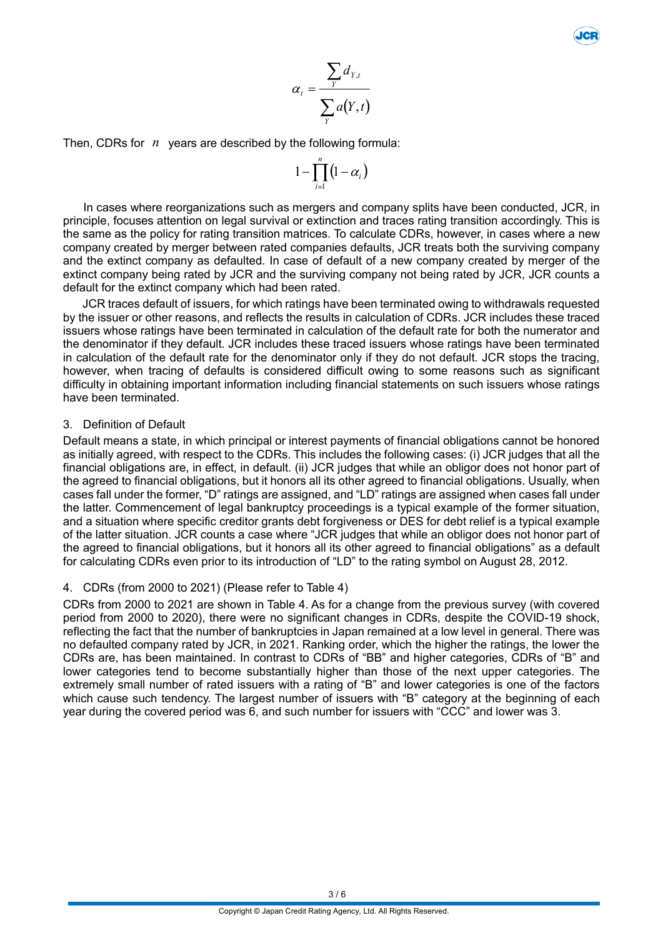$$
\alpha_t = \frac{\sum_{Y} d_{Y,t}}{\sum_{Y} a(Y,t)}
$$

Then, CDRs for  $n$  years are described by the following formula:

$$
1-\prod_{i=1}^n\bigl(1-\alpha_i\bigr)
$$

In cases where reorganizations such as mergers and company splits have been conducted, JCR, in principle, focuses attention on legal survival or extinction and traces rating transition accordingly. This is the same as the policy for rating transition matrices. To calculate CDRs, however, in cases where a new company created by merger between rated companies defaults, JCR treats both the surviving company and the extinct company as defaulted. In case of default of a new company created by merger of the extinct company being rated by JCR and the surviving company not being rated by JCR, JCR counts a default for the extinct company which had been rated.

JCR traces default of issuers, for which ratings have been terminated owing to withdrawals requested by the issuer or other reasons, and reflects the results in calculation of CDRs. JCR includes these traced issuers whose ratings have been terminated in calculation of the default rate for both the numerator and the denominator if they default. JCR includes these traced issuers whose ratings have been terminated in calculation of the default rate for the denominator only if they do not default. JCR stops the tracing, however, when tracing of defaults is considered difficult owing to some reasons such as significant difficulty in obtaining important information including financial statements on such issuers whose ratings have been terminated.

#### 3. Definition of Default

Default means a state, in which principal or interest payments of financial obligations cannot be honored as initially agreed, with respect to the CDRs. This includes the following cases: (i) JCR judges that all the financial obligations are, in effect, in default. (ii) JCR judges that while an obligor does not honor part of the agreed to financial obligations, but it honors all its other agreed to financial obligations. Usually, when cases fall under the former, "D" ratings are assigned, and "LD" ratings are assigned when cases fall under the latter. Commencement of legal bankruptcy proceedings is a typical example of the former situation, and a situation where specific creditor grants debt forgiveness or DES for debt relief is a typical example of the latter situation. JCR counts a case where "JCR judges that while an obligor does not honor part of the agreed to financial obligations, but it honors all its other agreed to financial obligations" as a default for calculating CDRs even prior to its introduction of "LD" to the rating symbol on August 28, 2012.

#### 4. CDRs (from 2000 to 2021) (Please refer to Table 4)

CDRs from 2000 to 2021 are shown in Table 4. As for a change from the previous survey (with covered period from 2000 to 2020), there were no significant changes in CDRs, despite the COVID-19 shock, reflecting the fact that the number of bankruptcies in Japan remained at a low level in general. There was no defaulted company rated by JCR, in 2021. Ranking order, which the higher the ratings, the lower the CDRs are, has been maintained. In contrast to CDRs of "BB" and higher categories, CDRs of "B" and lower categories tend to become substantially higher than those of the next upper categories. The extremely small number of rated issuers with a rating of "B" and lower categories is one of the factors which cause such tendency. The largest number of issuers with "B" category at the beginning of each year during the covered period was 6, and such number for issuers with "CCC" and lower was 3.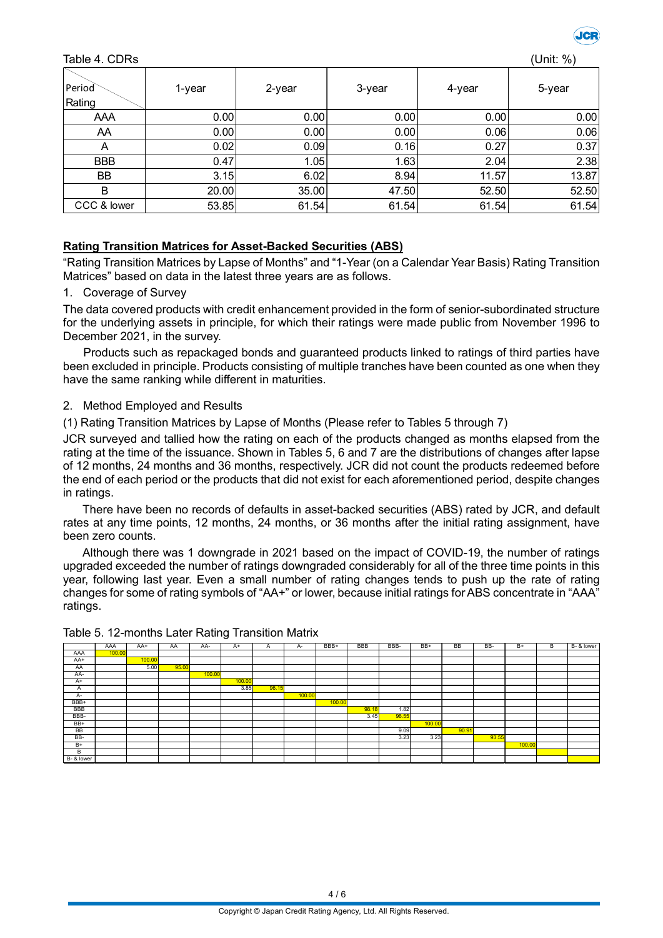

#### Table 4. CDRs (Unit: %)

| Period<br>Rating | 1-year | 2-year | 3-year            | 4-year | 5-year |
|------------------|--------|--------|-------------------|--------|--------|
| AAA              | 0.00   | 0.00   | 0.00              | 0.00   | 0.00   |
| AA               | 0.00   | 0.00   | 0.00              | 0.06   | 0.06   |
| A                | 0.02   | 0.09   | 0.16              | 0.27   | 0.37   |
| <b>BBB</b>       | 0.47   | 1.05   | 1.63 <sub>1</sub> | 2.04   | 2.38   |
| BB               | 3.15   | 6.02   | 8.94              | 11.57  | 13.87  |
| B                | 20.00  | 35.00  | 47.50             | 52.50  | 52.50  |
| CCC & lower      | 53.85  | 61.54  | 61.54             | 61.54  | 61.54  |

#### **Rating Transition Matrices for Asset-Backed Securities (ABS)**

"Rating Transition Matrices by Lapse of Months" and "1-Year (on a Calendar Year Basis) Rating Transition Matrices" based on data in the latest three years are as follows.

#### 1. Coverage of Survey

The data covered products with credit enhancement provided in the form of senior-subordinated structure for the underlying assets in principle, for which their ratings were made public from November 1996 to December 2021, in the survey.

Products such as repackaged bonds and guaranteed products linked to ratings of third parties have been excluded in principle. Products consisting of multiple tranches have been counted as one when they have the same ranking while different in maturities.

#### 2. Method Employed and Results

(1) Rating Transition Matrices by Lapse of Months (Please refer to Tables 5 through 7)

JCR surveyed and tallied how the rating on each of the products changed as months elapsed from the rating at the time of the issuance. Shown in Tables 5, 6 and 7 are the distributions of changes after lapse of 12 months, 24 months and 36 months, respectively. JCR did not count the products redeemed before the end of each period or the products that did not exist for each aforementioned period, despite changes in ratings.

There have been no records of defaults in asset-backed securities (ABS) rated by JCR, and default rates at any time points, 12 months, 24 months, or 36 months after the initial rating assignment, have been zero counts.

Although there was 1 downgrade in 2021 based on the impact of COVID-19, the number of ratings upgraded exceeded the number of ratings downgraded considerably for all of the three time points in this year, following last year. Even a small number of rating changes tends to push up the rate of rating changes for some of rating symbols of "AA+" or lower, because initial ratings for ABS concentrate in "AAA" ratings.

|            | AAA    | AA+    | AA    | AA-    | $A+$   | $\mathsf{A}$ | A-     | BBB+   | <b>BBB</b> | BBB-  | BB+    | <b>BB</b> | BB-   | $B+$   | в | $B - 8$ lower |
|------------|--------|--------|-------|--------|--------|--------------|--------|--------|------------|-------|--------|-----------|-------|--------|---|---------------|
| AAA        | 100.00 |        |       |        |        |              |        |        |            |       |        |           |       |        |   |               |
| AA+        |        | 100.00 |       |        |        |              |        |        |            |       |        |           |       |        |   |               |
| AA         |        | 5.00   | 95.00 |        |        |              |        |        |            |       |        |           |       |        |   |               |
| AA-        |        |        |       | 100.00 |        |              |        |        |            |       |        |           |       |        |   |               |
| $A+$       |        |        |       |        | 100.00 |              |        |        |            |       |        |           |       |        |   |               |
| A          |        |        |       |        | 3.85   | 96.15        |        |        |            |       |        |           |       |        |   |               |
| $A-$       |        |        |       |        |        |              | 100.00 |        |            |       |        |           |       |        |   |               |
| BBB+       |        |        |       |        |        |              |        | 100.00 |            |       |        |           |       |        |   |               |
| <b>BBB</b> |        |        |       |        |        |              |        |        | 98.18      | 1.82  |        |           |       |        |   |               |
| BBB-       |        |        |       |        |        |              |        |        | 3.45       | 96.55 |        |           |       |        |   |               |
| $BB+$      |        |        |       |        |        |              |        |        |            |       | 100.00 |           |       |        |   |               |
| <b>BB</b>  |        |        |       |        |        |              |        |        |            | 9.09  |        | 90.91     |       |        |   |               |
| BB-        |        |        |       |        |        |              |        |        |            | 3.23  | 3.23   |           | 93.55 |        |   |               |
| $B+$       |        |        |       |        |        |              |        |        |            |       |        |           |       | 100.00 |   |               |
| В          |        |        |       |        |        |              |        |        |            |       |        |           |       |        |   |               |
| B- & lower |        |        |       |        |        |              |        |        |            |       |        |           |       |        |   |               |

#### Table 5. 12-months Later Rating Transition Matrix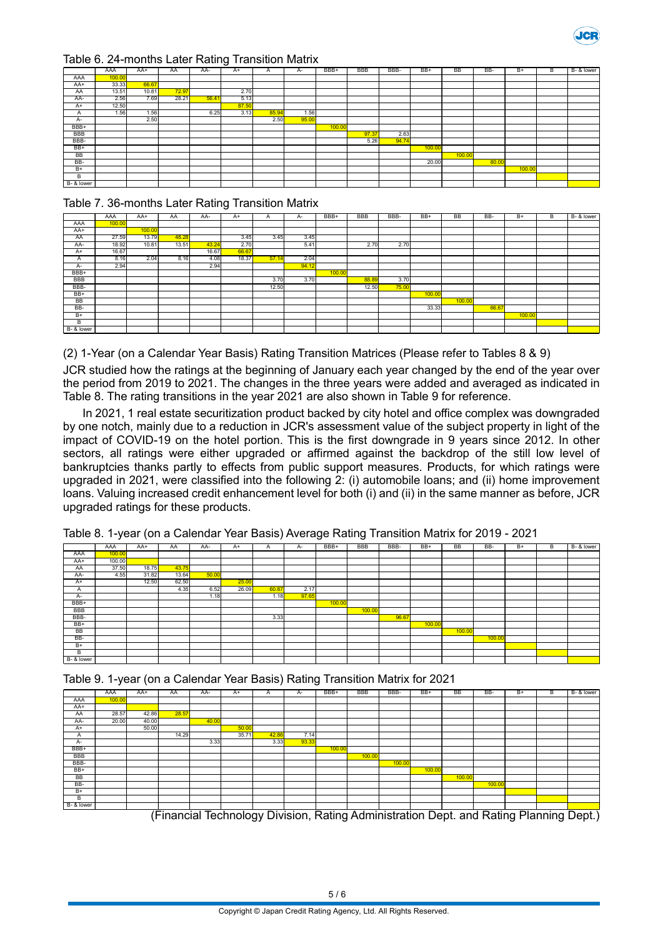

#### Table 6. 24-months Later Rating Transition Matrix

|            | AAA    | $AA+$ | AA    | AA-   | $\tilde{\phantom{a}}$<br>$A+$ | A     | A-    | BBB+   | <b>BBB</b> | BBB-  | BB+    | <b>BB</b> | BB-   | $B+$   | B | B- & lower |
|------------|--------|-------|-------|-------|-------------------------------|-------|-------|--------|------------|-------|--------|-----------|-------|--------|---|------------|
| AAA        | 100.00 |       |       |       |                               |       |       |        |            |       |        |           |       |        |   |            |
| AA+        | 33.33  | 66.67 |       |       |                               |       |       |        |            |       |        |           |       |        |   |            |
| AA         | 13.51  | 10.81 | 72.97 |       | 2.70                          |       |       |        |            |       |        |           |       |        |   |            |
| AA-        | 2.56   | 7.69  | 28.21 | 56.41 | 5.13                          |       |       |        |            |       |        |           |       |        |   |            |
| $A+$       | 12.50  |       |       |       | 87.50                         |       |       |        |            |       |        |           |       |        |   |            |
| A          | 1.56   | 1.56  |       | 6.25  | 3.13                          | 85.94 | 1.56  |        |            |       |        |           |       |        |   |            |
| $A-$       |        | 2.50  |       |       |                               | 2.50  | 95.00 |        |            |       |        |           |       |        |   |            |
| BBB+       |        |       |       |       |                               |       |       | 100.00 |            |       |        |           |       |        |   |            |
| <b>BBB</b> |        |       |       |       |                               |       |       |        | 97.37      | 2.63  |        |           |       |        |   |            |
| BBB-       |        |       |       |       |                               |       |       |        | 5.26       | 94.74 |        |           |       |        |   |            |
| $BB+$      |        |       |       |       |                               |       |       |        |            |       | 100.00 |           |       |        |   |            |
| BB         |        |       |       |       |                               |       |       |        |            |       |        | 100.00    |       |        |   |            |
| $BB-$      |        |       |       |       |                               |       |       |        |            |       | 20.00  |           | 80.00 |        |   |            |
| $B+$       |        |       |       |       |                               |       |       |        |            |       |        |           |       | 100.00 |   |            |
| B          |        |       |       |       |                               |       |       |        |            |       |        |           |       |        |   |            |
| B- & lower |        |       |       |       |                               |       |       |        |            |       |        |           |       |        |   |            |

#### Table 7. 36-months Later Rating Transition Matrix

|            |        |        |       |       |       |       |       |        |            |       |        |           |       | $B+$   |   |            |
|------------|--------|--------|-------|-------|-------|-------|-------|--------|------------|-------|--------|-----------|-------|--------|---|------------|
|            | AAA    | $AA+$  | AA    | AA-   | $A+$  | A     | А-    | BBB+   | <b>BBB</b> | BBB-  | BB+    | <b>BB</b> | BB-   |        | В | B- & lower |
| AAA        | 100.00 |        |       |       |       |       |       |        |            |       |        |           |       |        |   |            |
| AA+        |        | 100.00 |       |       |       |       |       |        |            |       |        |           |       |        |   |            |
| AA         | 27.59  | 13.79  | 48.28 |       | 3.45  | 3.45  | 3.45  |        |            |       |        |           |       |        |   |            |
| AA-        | 18.92  | 10.81  | 13.51 | 43.24 | 2.70  |       | 5.41  |        | 2.70       | 2.70  |        |           |       |        |   |            |
| $A+$       | 16.67  |        |       | 16.67 | 66.67 |       |       |        |            |       |        |           |       |        |   |            |
| A          | 8.16   | 2.04   | 8.16  | 4.08  | 18.37 | 57.14 | 2.04  |        |            |       |        |           |       |        |   |            |
| A-         | 2.94   |        |       | 2.94  |       |       | 94.12 |        |            |       |        |           |       |        |   |            |
| BBB+       |        |        |       |       |       |       |       | 100.00 |            |       |        |           |       |        |   |            |
| <b>BBB</b> |        |        |       |       |       | 3.70  | 3.70  |        | 88.89      | 3.70  |        |           |       |        |   |            |
| BBB-       |        |        |       |       |       | 12.50 |       |        | 12.50      | 75.00 |        |           |       |        |   |            |
| $BB+$      |        |        |       |       |       |       |       |        |            |       | 100.00 |           |       |        |   |            |
| <b>BB</b>  |        |        |       |       |       |       |       |        |            |       |        | 100.00    |       |        |   |            |
| BB-        |        |        |       |       |       |       |       |        |            |       | 33.33  |           | 66.67 |        |   |            |
| $B+$       |        |        |       |       |       |       |       |        |            |       |        |           |       | 100.00 |   |            |
| B.         |        |        |       |       |       |       |       |        |            |       |        |           |       |        |   |            |
| B- & lower |        |        |       |       |       |       |       |        |            |       |        |           |       |        |   |            |

(2) 1-Year (on a Calendar Year Basis) Rating Transition Matrices (Please refer to Tables 8 & 9)

JCR studied how the ratings at the beginning of January each year changed by the end of the year over the period from 2019 to 2021. The changes in the three years were added and averaged as indicated in Table 8. The rating transitions in the year 2021 are also shown in Table 9 for reference.

In 2021, 1 real estate securitization product backed by city hotel and office complex was downgraded by one notch, mainly due to a reduction in JCR's assessment value of the subject property in light of the impact of COVID-19 on the hotel portion. This is the first downgrade in 9 years since 2012. In other sectors, all ratings were either upgraded or affirmed against the backdrop of the still low level of bankruptcies thanks partly to effects from public support measures. Products, for which ratings were upgraded in 2021, were classified into the following 2: (i) automobile loans; and (ii) home improvement loans. Valuing increased credit enhancement level for both (i) and (ii) in the same manner as before, JCR upgraded ratings for these products.

|            | AAA    | AA+   | AA    | AA-   | $A+$  | A     | A-    | BBB+   | <b>BBB</b> | BBB-  | BB+    | <b>BB</b> | BB-    | $B+$ | В | B- & lower |
|------------|--------|-------|-------|-------|-------|-------|-------|--------|------------|-------|--------|-----------|--------|------|---|------------|
| AAA        | 100.00 |       |       |       |       |       |       |        |            |       |        |           |        |      |   |            |
| AA+        | 100.00 |       |       |       |       |       |       |        |            |       |        |           |        |      |   |            |
| AA         | 37.50  | 18.75 | 43.75 |       |       |       |       |        |            |       |        |           |        |      |   |            |
| AA-        | 4.55   | 31.82 | 13.64 | 50.00 |       |       |       |        |            |       |        |           |        |      |   |            |
| $A+$       |        | 12.50 | 62.50 |       | 25.00 |       |       |        |            |       |        |           |        |      |   |            |
| A          |        |       | 4.35  | 6.52  | 26.09 | 60.87 | 2.17  |        |            |       |        |           |        |      |   |            |
| A-         |        |       |       | 1.18  |       | 1.18  | 97.65 |        |            |       |        |           |        |      |   |            |
| BBB+       |        |       |       |       |       |       |       | 100.00 |            |       |        |           |        |      |   |            |
| <b>BBB</b> |        |       |       |       |       |       |       |        | 100.00     |       |        |           |        |      |   |            |
| BBB-       |        |       |       |       |       | 3.33  |       |        |            | 96.67 |        |           |        |      |   |            |
| BB+        |        |       |       |       |       |       |       |        |            |       | 100.00 |           |        |      |   |            |
| BB         |        |       |       |       |       |       |       |        |            |       |        | 100.00    |        |      |   |            |
| BB-        |        |       |       |       |       |       |       |        |            |       |        |           | 100.00 |      |   |            |
| $B+$       |        |       |       |       |       |       |       |        |            |       |        |           |        |      |   |            |
| В          |        |       |       |       |       |       |       |        |            |       |        |           |        |      |   |            |
| B- & lower |        |       |       |       |       |       |       |        |            |       |        |           |        |      |   |            |

|  |  |  | Table 9. 1-year (on a Calendar Year Basis) Rating Transition Matrix for 2021 |  |
|--|--|--|------------------------------------------------------------------------------|--|
|  |  |  |                                                                              |  |

|            | AAA    | AA+                      | AA    | AA-   | $A+$  | A     | A-    | BBB+   | <b>BBB</b> | BBB-   | $BB+$  | <b>BB</b>                           | BB-    | $B+$ | в | B- & lower |
|------------|--------|--------------------------|-------|-------|-------|-------|-------|--------|------------|--------|--------|-------------------------------------|--------|------|---|------------|
| AAA        | 100.00 |                          |       |       |       |       |       |        |            |        |        |                                     |        |      |   |            |
| AA+        |        |                          |       |       |       |       |       |        |            |        |        |                                     |        |      |   |            |
| AA         | 28.57  | 42.86                    | 28.57 |       |       |       |       |        |            |        |        |                                     |        |      |   |            |
| AA-        | 20.00  | 40.00                    |       | 40.00 |       |       |       |        |            |        |        |                                     |        |      |   |            |
| $A+$       |        | 50.00                    |       |       | 50.00 |       |       |        |            |        |        |                                     |        |      |   |            |
| A          |        |                          | 14.29 |       | 35.71 | 42.86 | 7.14  |        |            |        |        |                                     |        |      |   |            |
| A-         |        |                          |       | 3.33  |       | 3.33  | 93.33 |        |            |        |        |                                     |        |      |   |            |
| BBB+       |        |                          |       |       |       |       |       | 100.00 |            |        |        |                                     |        |      |   |            |
| <b>BBB</b> |        |                          |       |       |       |       |       |        | 100.00     |        |        |                                     |        |      |   |            |
| BBB-       |        |                          |       |       |       |       |       |        |            | 100.00 |        |                                     |        |      |   |            |
| BB+        |        |                          |       |       |       |       |       |        |            |        | 100.00 |                                     |        |      |   |            |
| BB         |        |                          |       |       |       |       |       |        |            |        |        | 100.00                              |        |      |   |            |
| BB-        |        |                          |       |       |       |       |       |        |            |        |        |                                     | 100.00 |      |   |            |
| $B+$       |        |                          |       |       |       |       |       |        |            |        |        |                                     |        |      |   |            |
| в          |        |                          |       |       |       |       |       |        |            |        |        |                                     |        |      |   |            |
| B- & lower |        | $\overline{\phantom{a}}$ |       | .     |       | _     |       |        |            |        |        | the contract of the contract of the | .      | $ -$ |   | $ -$       |

(Financial Technology Division, Rating Administration Dept. and Rating Planning Dept.)